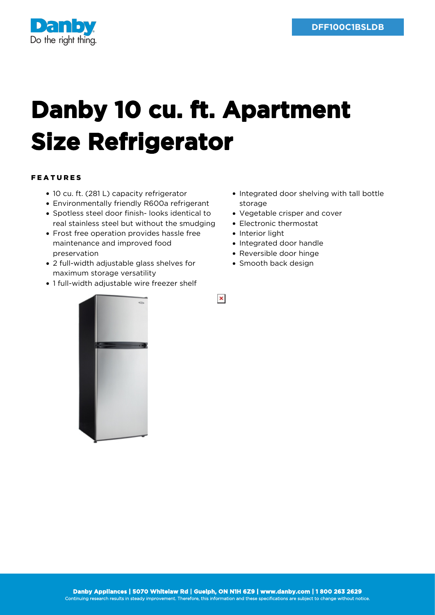

## **Danby 10 cu. ft. Apartment Size Refrigerator**

## FEATURES

- 10 cu. ft. (281 L) capacity refrigerator
- Environmentally friendly R600a refrigerant
- Spotless steel door finish- looks identical to real stainless steel but without the smudging
- Frost free operation provides hassle free maintenance and improved food preservation
- 2 full-width adjustable glass shelves for maximum storage versatility
- 1 full-width adjustable wire freezer shelf
- Integrated door shelving with tall bottle storage
- Vegetable crisper and cover
- Electronic thermostat
- Interior light

 $\pmb{\times}$ 

- Integrated door handle
- Reversible door hinge
- Smooth back design